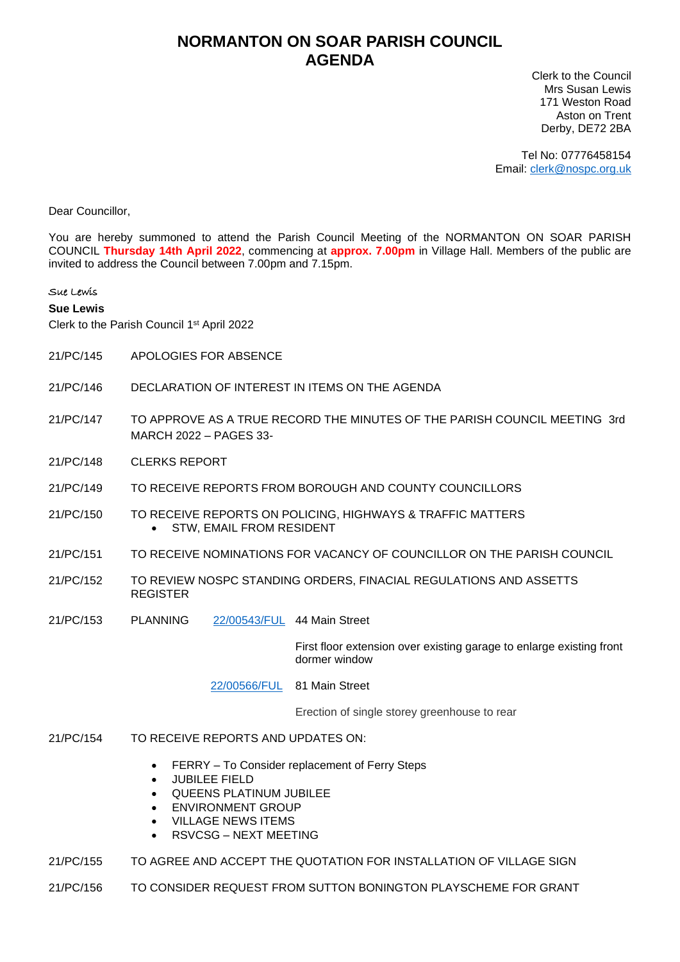## **NORMANTON ON SOAR PARISH COUNCIL AGENDA**

Clerk to the Council Mrs Susan Lewis 171 Weston Road Aston on Trent Derby, DE72 2BA

Tel No: 07776458154 Email: [clerk@nospc.org.uk](mailto:clerk@nospc.org.uk)

Dear Councillor,

You are hereby summoned to attend the Parish Council Meeting of the NORMANTON ON SOAR PARISH COUNCIL **Thursday 14th April 2022**, commencing at **approx. 7.00pm** in Village Hall. Members of the public are invited to address the Council between 7.00pm and 7.15pm.

## Sue Lewis

## **Sue Lewis**

Clerk to the Parish Council 1 st April 2022

- 21/PC/145 APOLOGIES FOR ABSENCE
- 21/PC/146 DECLARATION OF INTEREST IN ITEMS ON THE AGENDA
- 21/PC/147 TO APPROVE AS A TRUE RECORD THE MINUTES OF THE PARISH COUNCIL MEETING 3rd MARCH 2022 – PAGES 33-
- 21/PC/148 CLERKS REPORT
- 21/PC/149 TO RECEIVE REPORTS FROM BOROUGH AND COUNTY COUNCILLORS
- 21/PC/150 TO RECEIVE REPORTS ON POLICING, HIGHWAYS & TRAFFIC MATTERS • STW, EMAIL FROM RESIDENT
- 21/PC/151 TO RECEIVE NOMINATIONS FOR VACANCY OF COUNCILLOR ON THE PARISH COUNCIL
- 21/PC/152 TO REVIEW NOSPC STANDING ORDERS, FINACIAL REGULATIONS AND ASSETTS REGISTER
- 21/PC/153 PLANNING [22/00543/FUL](https://planningon-line.rushcliffe.gov.uk/online-applications/simpleSearchResults.do?action=firstPage) 44 Main Street

First floor extension over existing garage to enlarge existing front dormer window

[22/00566/FUL](https://planningon-line.rushcliffe.gov.uk/online-applications/applicationDetails.do?keyVal=R8ZA39NLJHJ00&activeTab=summary) 81 Main Street

Erection of single storey greenhouse to rear

- 21/PC/154 TO RECEIVE REPORTS AND UPDATES ON:
	- FERRY To Consider replacement of Ferry Steps
	- JUBILEE FIELD
	- QUEENS PLATINUM JUBILEE
	- ENVIRONMENT GROUP
	- VILLAGE NEWS ITEMS
	- RSVCSG NEXT MEETING
- 21/PC/155 TO AGREE AND ACCEPT THE QUOTATION FOR INSTALLATION OF VILLAGE SIGN
- 21/PC/156 TO CONSIDER REQUEST FROM SUTTON BONINGTON PLAYSCHEME FOR GRANT